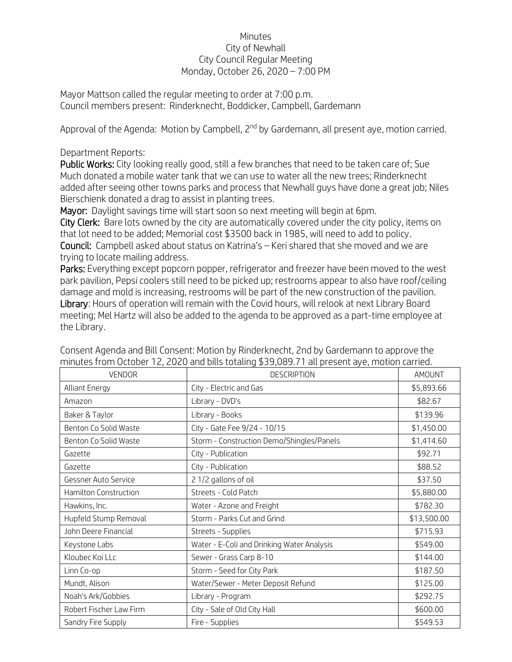## Minutes City of Newhall City Council Regular Meeting Monday, October 26, 2020 – 7:00 PM

Mayor Mattson called the regular meeting to order at 7:00 p.m. Council members present: Rinderknecht, Boddicker, Campbell, Gardemann

Approval of the Agenda: Motion by Campbell, 2<sup>nd</sup> by Gardemann, all present aye, motion carried.

## Department Reports:

Public Works: City looking really good, still a few branches that need to be taken care of; Sue Much donated a mobile water tank that we can use to water all the new trees; Rinderknecht added after seeing other towns parks and process that Newhall guys have done a great job; Niles Bierschienk donated a drag to assist in planting trees.

Mayor: Daylight savings time will start soon so next meeting will begin at 6pm.

City Clerk: Bare lots owned by the city are automatically covered under the city policy, items on that lot need to be added; Memorial cost \$3500 back in 1985, will need to add to policy. Council: Campbell asked about status on Katrina's – Keri shared that she moved and we are trying to locate mailing address.

Parks: Everything except popcorn popper, refrigerator and freezer have been moved to the west park pavilion, Pepsi coolers still need to be picked up; restrooms appear to also have roof/ceiling damage and mold is increasing, restrooms will be part of the new construction of the pavilion. Library: Hours of operation will remain with the Covid hours, will relook at next Library Board meeting; Mel Hartz will also be added to the agenda to be approved as a part-time employee at the Library.

| <b>VENDOR</b>           | <b>DESCRIPTION</b>                         | AMOUNT      |
|-------------------------|--------------------------------------------|-------------|
| Alliant Energy          | City - Electric and Gas                    | \$5,893.66  |
| Amazon                  | Library - DVD's                            | \$82.67     |
| Baker & Taylor          | Library - Books                            | \$139.96    |
| Benton Co Solid Waste   | City - Gate Fee 9/24 - 10/15               | \$1,450.00  |
| Benton Co Solid Waste   | Storm - Construction Demo/Shingles/Panels  | \$1,414.60  |
| Gazette                 | City - Publication                         | \$92.71     |
| Gazette                 | City - Publication                         | \$88.52     |
| Gessner Auto Service    | 2 1/2 gallons of oil                       | \$37.50     |
| Hamilton Construction   | Streets - Cold Patch                       | \$5,880.00  |
| Hawkins, Inc.           | Water - Azone and Freight                  | \$782.30    |
| Hupfeld Stump Removal   | Storm - Parks Cut and Grind                | \$13,500.00 |
| John Deere Financial    | Streets - Supplies                         | \$715.93    |
| Keystone Labs           | Water - E-Coli and Drinking Water Analysis | \$549.00    |
| Kloubec Koi LLc         | Sewer - Grass Carp 8-10                    | \$144.00    |
| Linn Co-op              | Storm - Seed for City Park                 | \$187.50    |
| Mundt, Alison           | Water/Sewer - Meter Deposit Refund         | \$125.00    |
| Noah's Ark/Gobbies      | Library - Program                          | \$292.75    |
| Robert Fischer Law Firm | City - Sale of Old City Hall               | \$600.00    |
| Sandry Fire Supply      | Fire - Supplies                            | \$549.53    |

Consent Agenda and Bill Consent: Motion by Rinderknecht, 2nd by Gardemann to approve the minutes from October 12, 2020 and bills totaling \$39,089.71 all present aye, motion carried.